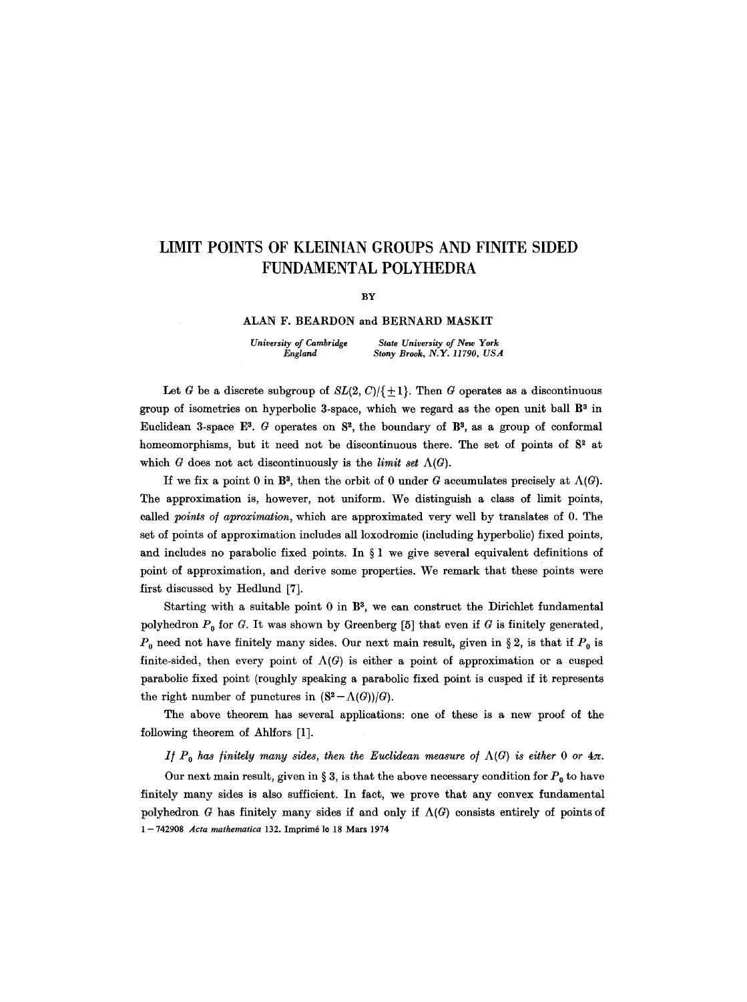# **LIMIT POINTS OF KLEINIAN GROUPS AND FINITE SIDED FUNDAMENTAL POLYHEDRA**

**BY** 

### **ALAN F. BEARDON and BERNARD MASKIT**

*University of Cambridge State University of New York England Stony Brook, N.Y. 11790, USA* 

Let G be a discrete subgroup of  $SL(2, C)/\{+1\}$ . Then G operates as a discontinuous group of isometries on hyperbolic 3-space, which we regard as the open unit ball  $B<sup>3</sup>$  in Euclidean 3-space E<sup>3</sup>. G operates on  $S^2$ , the boundary of B<sup>3</sup>, as a group of conformal homeomorphisms, but it need not be discontinuous there. The set of points of  $S<sup>2</sup>$  at which G does not act discontinuously is the *limit set*  $\Lambda(G)$ .

If we fix a point 0 in B<sup>3</sup>, then the orbit of 0 under G accumulates precisely at  $\Lambda(G)$ . The approximation is, however, not uniform. We distinguish a class of limit points, called *points o/aproximation,* which are approximated very well by translates of 0. The set of points of approximation includes all loxodromic (including hyperbolic) fixed points, and includes no parabolic fixed points. In  $\S 1$  we give several equivalent definitions of point of approximation, and derive some properties. We remark that these points were first discussed by Hedlund [7].

Starting with a suitable point  $0$  in  $\mathbb{B}^3$ , we can construct the Dirichlet fundamental polyhedron  $P_0$  for G. It was shown by Greenberg [5] that even if G is finitely generated,  $P_0$  need not have finitely many sides. Our next main result, given in § 2, is that if  $P_0$  is finite-sided, then every point of  $\Lambda(G)$  is either a point of approximation or a cusped parabolic fixed point (roughly speaking a parabolic fixed point is cusped if it represents the right number of punctures in  $(S^2 - \Lambda(G))/G$ .

The above theorem has several applications: one of these is a new proof of the following theorem of Ahlfors [1].

*If*  $P_0$  has finitely many sides, then the Euclidean measure of  $\Lambda(G)$  is either 0 or  $4\pi$ .

Our next main result, given in § 3, is that the above necessary condition for  $P_0$  to have finitely many sides is also sufficient. In fact, we prove that any convex fundamental polyhedron G has finitely many sides if and only if  $\Lambda(G)$  consists entirely of points of 1-742908 *Acta mathematica* 132. Imprimé le 18 Mars 1974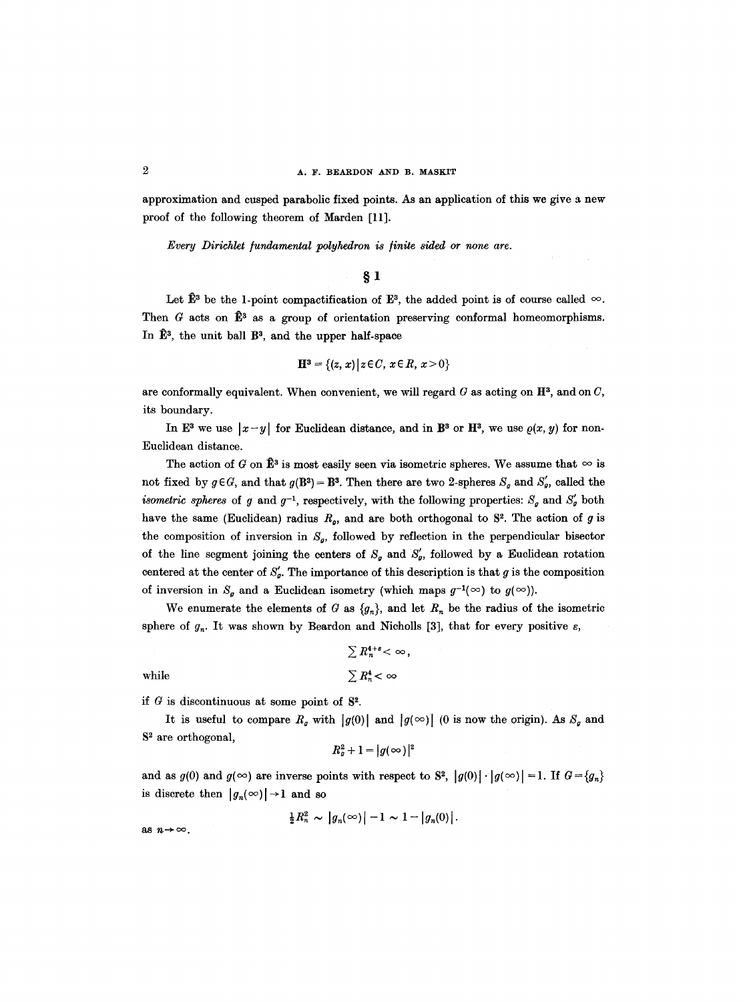approximation and cusped parabolic fixed points. As an application of this we give a new proof of the following theorem of Marden [11].

*Every Dirichlet /undamental polyhedron is /inite sided or none are.* 

## $\S$  1

Let  $\hat{\mathbb{E}}^3$  be the 1-point compactification of  $\mathbb{E}^3$ , the added point is of course called  $\infty$ . Then G acts on  $\mathbb{B}^3$  as a group of orientation preserving conformal homeomorphisms. In  $\hat{E}^3$ , the unit ball  $B^3$ , and the upper half-space

$$
\mathbf{H}^3 = \{(z, x) | z \in C, x \in R, x > 0\}
$$

are conformally equivalent. When convenient, we will regard  $G$  as acting on  $\mathbb{H}^3$ , and on  $C$ , its boundary.

In E<sup>3</sup> we use  $|x-y|$  for Euclidean distance, and in B<sup>3</sup> or H<sup>3</sup>, we use  $\rho(x, y)$  for non-Euclidean distance.

The action of G on  $\hat{\mathbb{B}}^3$  is most easily seen via isometric spheres. We assume that  $\infty$  is not fixed by  $g \in G$ , and that  $g(B^3) = B^3$ . Then there are two 2-spheres  $S_g$  and  $S'_g$ , called the *isometric spheres* of g and  $g^{-1}$ , respectively, with the following properties:  $S_g$  and  $S'_g$  both have the same (Euclidean) radius  $R_o$ , and are both orthogonal to  $S<sup>2</sup>$ . The action of g is the composition of inversion in  $S_g$ , followed by reflection in the perpendicular bisector of the line segment joining the centers of  $S_g$  and  $S'_g$ , followed by a Euclidean rotation centered at the center of  $S_{\mathfrak{g}}'$ . The importance of this description is that g is the composition of inversion in  $S_g$  and a Euclidean isometry (which maps  $g^{-1}(\infty)$  to  $g(\infty)$ ).

We enumerate the elements of G as  $\{g_n\}$ , and let  $R_n$  be the radius of the isometric sphere of  $g_n$ . It was shown by Beardon and Nicholls [3], that for every positive  $\varepsilon$ ,

$$
\sum R_n^{4+\varepsilon} < \infty,
$$
 while 
$$
\sum R_n^4 < \infty
$$

if  $G$  is discontinuous at some point of  $S^2$ .

It is useful to compare  $R_g$  with  $|g(0)|$  and  $|g(\infty)|$  (0 is now the origin). As  $S_g$  and  $S<sup>2</sup>$  are orthogonal,

$$
R_g^2+1=|g(\infty)|^2
$$

and as  $g(0)$  and  $g(\infty)$  are inverse points with respect to S<sup>2</sup>,  $|g(0)| \cdot |g(\infty)| = 1$ . If  $G = \{g_n\}$ is discrete then  $|g_n(\infty)| \rightarrow 1$  and so

$$
\frac{1}{2}R_n^2 \sim |g_n(\infty)| - 1 \sim 1 - |g_n(0)|.
$$

as  $n \rightarrow \infty$ .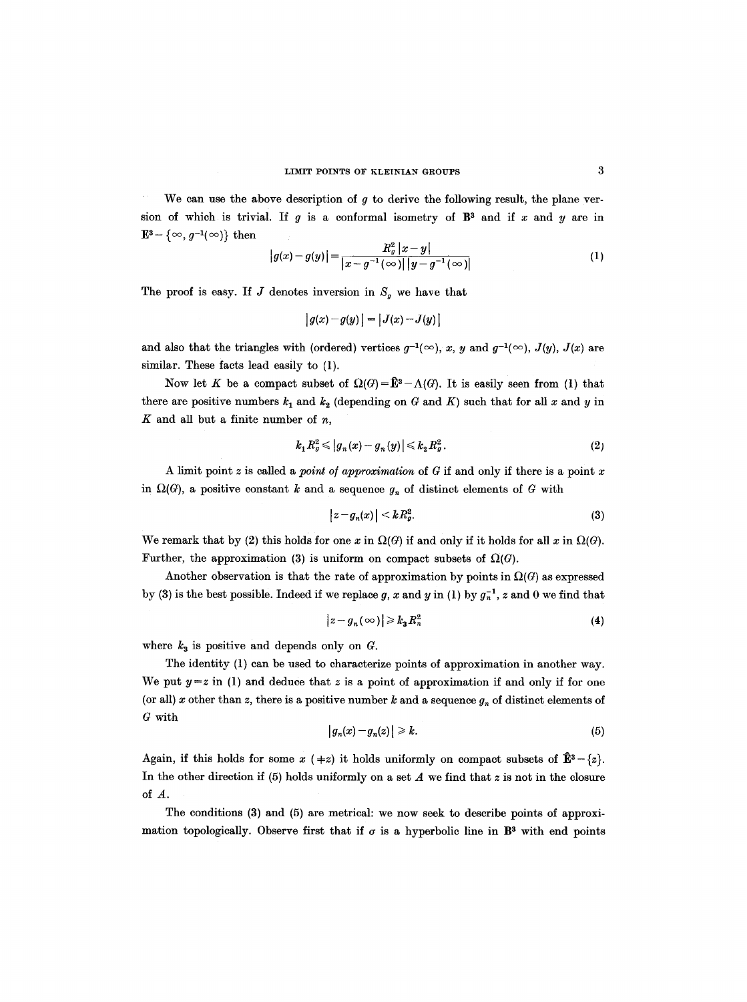We can use the above description of  $g$  to derive the following result, the plane version of which is trivial. If g is a conformal isometry of  $\mathbb{B}^3$  and if x and y are in  $\mathbf{E}^{3} - \{\infty, g^{-1}(\infty)\}\)$  then

$$
|g(x)-g(y)| = \frac{R_g^2 |x-y|}{|x-g^{-1}(\infty)||y-g^{-1}(\infty)|}
$$
 (1)

The proof is easy. If J denotes inversion in  $S_q$  we have that

$$
|g(x)-g(y)| = |J(x)-J(y)|
$$

and also that the triangles with (ordered) vertices  $g^{-1}(\infty)$ , *x*, *y* and  $g^{-1}(\infty)$ , *J(y)*, *J(x)* are similar. These facts lead easily to (1).

Now let K be a compact subset of  $\Omega(G) = \hat{\mathbb{E}}^3 - \Lambda(G)$ . It is easily seen from (1) that there are positive numbers  $k_1$  and  $k_2$  (depending on G and K) such that for all x and y in  $K$  and all but a finite number of  $n$ ,

$$
k_1 R_g^2 \le |g_n(x) - g_n(y)| \le k_2 R_g^2. \tag{2}
$$

A limit point z is called a *point o/approximation* of G if and only if there is a point x in  $\Omega(G)$ , a positive constant k and a sequence  $g_n$  of distinct elements of G with

$$
|z - g_n(x)| < k R_g^2. \tag{3}
$$

We remark that by (2) this holds for one x in  $\Omega(G)$  if and only if it holds for all x in  $\Omega(G)$ . Further, the approximation (3) is uniform on compact subsets of  $\Omega(G)$ .

Another observation is that the rate of approximation by points in  $\Omega(G)$  as expressed by (3) is the best possible. Indeed if we replace g, x and y in (1) by  $g_n^{-1}$ , z and 0 we find that

$$
|z - g_n(\infty)| \geqslant k_3 R_n^2 \tag{4}
$$

where  $k_3$  is positive and depends only on  $G$ .

The identity (1) can be used to characterize points of approximation in another way. We put  $y = z$  in (1) and deduce that z is a point of approximation if and only if for one (or all) x other than z, there is a positive number k and a sequence  $g_n$  of distinct elements of G with

$$
|g_n(x)-g_n(z)|\geq k.\tag{5}
$$

Again, if this holds for some  $x (+z)$  it holds uniformly on compact subsets of  $\hat{\mathbf{E}}^3$  -  $\{z\}$ . In the other direction if  $(5)$  holds uniformly on a set  $A$  we find that  $z$  is not in the closure of A.

The conditions (3) and (5) are metrical: we now seek to describe points of approximation topologically. Observe first that if  $\sigma$  is a hyperbolic line in  $\mathbb{B}^3$  with end points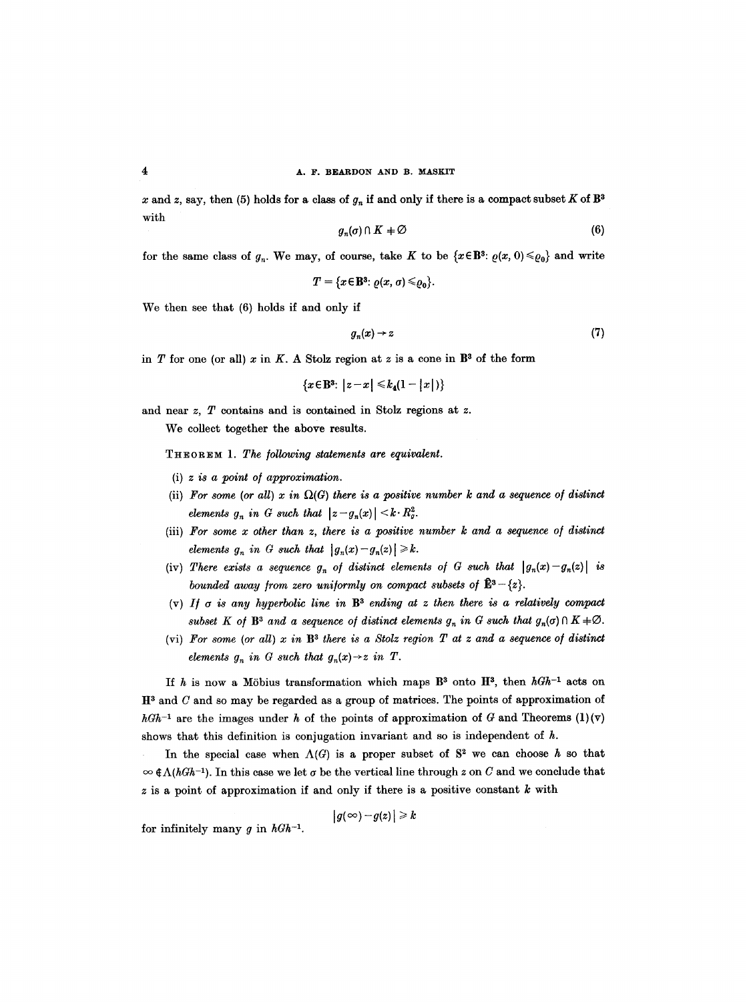x and z, say, then (5) holds for a class of  $g_n$  if and only if there is a compact subset K of  $\mathbb{B}^3$ with

$$
g_n(\sigma) \cap K \neq \varnothing \tag{6}
$$

for the same class of  $g_n$ . We may, of course, take K to be  $\{x \in \mathbb{B}^3 : \varrho(x, 0) \leq \varrho_0\}$  and write

$$
T = \{x \in \mathbb{B}^3 : \varrho(x, \sigma) \leq \varrho_0\}.
$$

We then see that (6) holds if and only if

$$
g_n(x) \to z \tag{7}
$$

in T for one (or all) x in K. A Stolz region at z is a cone in  $\mathbb{B}^3$  of the form

 ${x \in B^3: |z-x| \leq k_a(1-|x|)}$ 

and near z, T contains and is contained in Stolz regions at z.

We collect together the above results.

THEOREM *1. The following statements are equivalent.* 

- *(i) z is a point o/ approximation.*
- (ii) For some (or all)  $x$  in  $\Omega(G)$  there is a positive number k and a sequence of distinct *elements g<sub>n</sub>* in G such that  $|z-g_n(x)| < k \cdot R_g^2$ .
- (iii) For some x other than z, there is a positive number k and a sequence of distinct *elements*  $g_n$  in G such that  $|g_n(x)-g_n(z)| \geq k$ .
- (iv) There exists a sequence  $g_n$  of distinct elements of G such that  $|g_n(x)-g_n(z)|$  is *bounded away from zero uniformly on compact subsets of*  $\mathbf{E}^3 - \{z\}.$
- (v) If  $\sigma$  is any hyperbolic line in  $\mathbb{B}^3$  ending at z then there is a relatively compact *subset K of*  $\mathbb{B}^3$  *and a sequence of distinct elements*  $g_n$  *in G such that*  $g_n(\sigma) \cap K \neq \emptyset$ .
- (vi) For some (or all)  $x$  in  $B<sup>3</sup>$  there is a Stolz region  $T$  at  $z$  and  $a$  sequence of distinct *elements*  $g_n$  in G such that  $g_n(x) \rightarrow z$  in T.

If h is now a Möbius transformation which maps  $B^3$  onto  $H^3$ , then  $hGh^{-1}$  acts on  $\mathbb{H}^3$  and C and so may be regarded as a group of matrices. The points of approximation of  $hGh^{-1}$  are the images under h of the points of approximation of G and Theorems (1)(v) shows that this definition is conjugation invariant and so is independent of  $h$ .

In the special case when  $\Lambda(G)$  is a proper subset of  $S^2$  we can choose h so that  $\infty$   $\in \Lambda(hGh^{-1})$ . In this case we let  $\sigma$  be the vertical line through z on C and we conclude that  $z$  is a point of approximation if and only if there is a positive constant  $k$  with

 $|g(\infty)-g(z)|\geqslant k$ 

for infinitely many  $g$  in  $hGh^{-1}$ .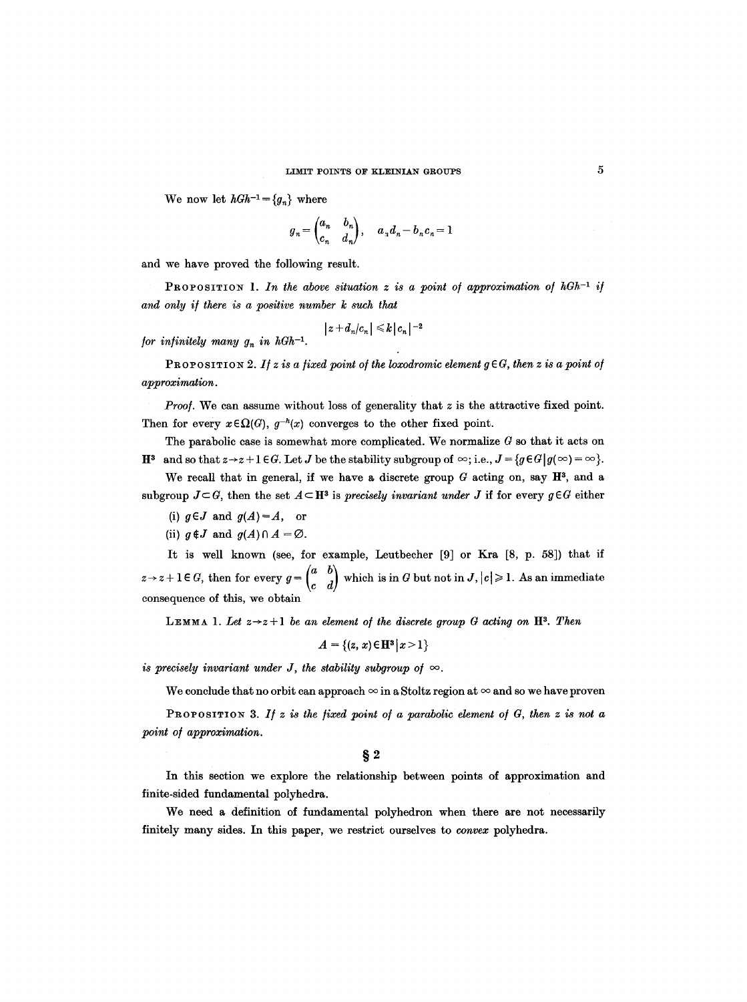We now let  $hGh^{-1} = \{g_n\}$  where

$$
g_n = \begin{pmatrix} a_n & b_n \\ c_n & d_n \end{pmatrix}, \quad a_n d_n - b_n c_n = 1
$$

and we have proved the following result.

PROPOSITION 1. In the above situation  $z$  is a point of approximation of  $hGh^{-1}$  if *and only i/there is a positive number k such that* 

$$
\big|z+d_n/c_n\big|\leqslant k\big\|c_n\big\|^{-2}
$$

*for infinitely many*  $g_n$  *in hGh<sup>-1</sup>.* 

PROPOSITION 2. If z is a fixed point of the loxodromic element  $g \in G$ , then z is a point of *approximation.* 

*Proof.* We can assume without loss of generality that z is the attractive fixed point. Then for every  $x \in \Omega(G)$ ,  $g^{-h}(x)$  converges to the other fixed point.

The parabolic case is somewhat more complicated. We normalize  $G$  so that it acts on  $\mathbf{H}^3$  and so that  $z \rightarrow z + 1 \in G$ . Let *J* be the stability subgroup of  $\infty$ ; i.e.,  $J = \{g \in G | g(\infty) = \infty\}$ .

We recall that in general, if we have a discrete group  $G$  acting on, say  $\mathbb{H}^3$ , and a subgroup  $J\subset G$ , then the set  $A\subset \mathbf{H}^3$  is *precisely invariant under* J if for every  $g\in G$  either

(i)  $g \in J$  and  $g(A) = A$ , or

(ii)  $g \notin J$  and  $g(A) \cap A = \emptyset$ .

It is well known (see, for example, Leutbeeher [9] or Kra [8, p. 58]) that if  $z \rightarrow z+1 \in G$ , then for every  $g=\begin{pmatrix} a & b \\ c & d \end{pmatrix}$  which is in G but not in J,  $|c| \geq 1$ . As an immediate consequence of this, we obtain

**LEMMA** 1. Let  $z \rightarrow z + 1$  be an element of the discrete group G acting on  $\mathbb{H}^3$ . Then

$$
A = \{(z, x) \in \mathbf{H}^3 | x > 1\}
$$

*is precisely invariant under J, the stability subgroup of*  $\infty$ .

We conclude that no orbit can approach  $\infty$  in a Stoltz region at  $\infty$  and so we have proven

PROPOSITION 3. If z is the fixed point of a parabolic element of G, then z is not a *point ol approximation.* 

*w* 

In this section we explore the relationship between points of approximation and finite-sided fundamental polyhedra.

We need a definition of fundamental polyhedron when there are not necessarily finitely many sides. In this paper, we restrict ourselves to *convex* polyhedra.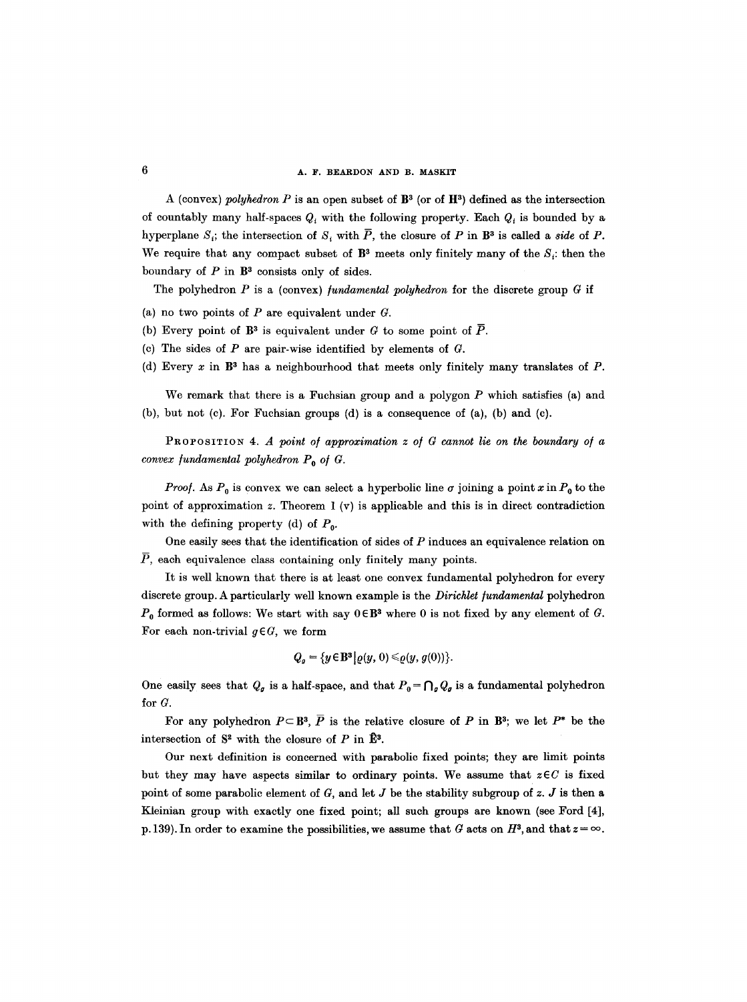A (convex) *polyhedron* P is an open subset of  $\mathbb{B}^3$  (or of  $\mathbb{H}^3$ ) defined as the intersection of countably many half-spaces  $Q_t$  with the following property. Each  $Q_t$  is bounded by a hyperplane  $S_i$ ; the intersection of  $S_i$  with  $\overline{P}$ , the closure of P in B<sup>3</sup> is called a *side* of P. We require that any compact subset of  $\mathbb{B}^3$  meets only finitely many of the S<sub>i</sub>: then the boundary of  $P$  in  $\mathbb{B}^3$  consists only of sides.

The polyhedron  $P$  is a (convex) *fundamental polyhedron* for the discrete group  $G$  if

- (a) no two points of  $P$  are equivalent under  $G$ .
- (b) Every point of  $\mathbb{B}^3$  is equivalent under G to some point of  $\overline{P}$ .
- (c) The sides of  $P$  are pair-wise identified by elements of  $G$ .
- (d) Every x in  $\mathbb{B}^3$  has a neighbourhood that meets only finitely many translates of P.

We remark that there is a Fuchsian group and a polygon  $P$  which satisfies (a) and (b), but not (c). For Fuchsian groups (d) is a consequence of (a), (b) and (c).

PROPOSITION *4. A point o/ approximation z o/ G cannot lie on the boundary o/ a convex fundamental polyhedron*  $P_0$  of  $G$ .

*Proof.* As  $P_0$  is convex we can select a hyperbolic line  $\sigma$  joining a point x in  $P_0$  to the point of approximation z. Theorem  $1 (v)$  is applicable and this is in direct contradiction with the defining property (d) of  $P_0$ .

One easily sees that the identification of sides of  $P$  induces an equivalence relation on  $\overline{P}$ , each equivalence class containing only finitely many points.

It is well known that there is at least one convex fundamental polyhedron for every discrete group. A particularly well known example is the *Dirichlet fundamental* polyhedron  $P_0$  formed as follows: We start with say  $0 \in \mathbb{B}^3$  where 0 is not fixed by any element of G. For each non-trivial  $g \in G$ , we form

$$
Q_g = \{y \in \mathbf{B}^3 \big| \varrho(y, 0) \leqslant \varrho(y, g(0))\}.
$$

One easily sees that  $Q_g$  is a half-space, and that  $P_0 = \bigcap_g Q_g$  is a fundamental polyhedron for G.

For any polyhedron  $P \subseteq \mathbb{B}^3$ ,  $\overline{P}$  is the relative closure of P in  $\mathbb{B}^3$ ; we let  $P^*$  be the intersection of  $S^2$  with the closure of P in  $\hat{E}^3$ .

Our next definition is concerned with parabolic fixed points; they are limit points but they may have aspects similar to ordinary points. We assume that  $z \in C$  is fixed point of some parabolic element of  $G$ , and let  $J$  be the stability subgroup of  $z$ .  $J$  is then a Kleinian group with exactly one fixed point; all such groups are known (see Ford [4], p. 139). In order to examine the possibilities, we assume that G acts on  $H^3$ , and that  $z = \infty$ .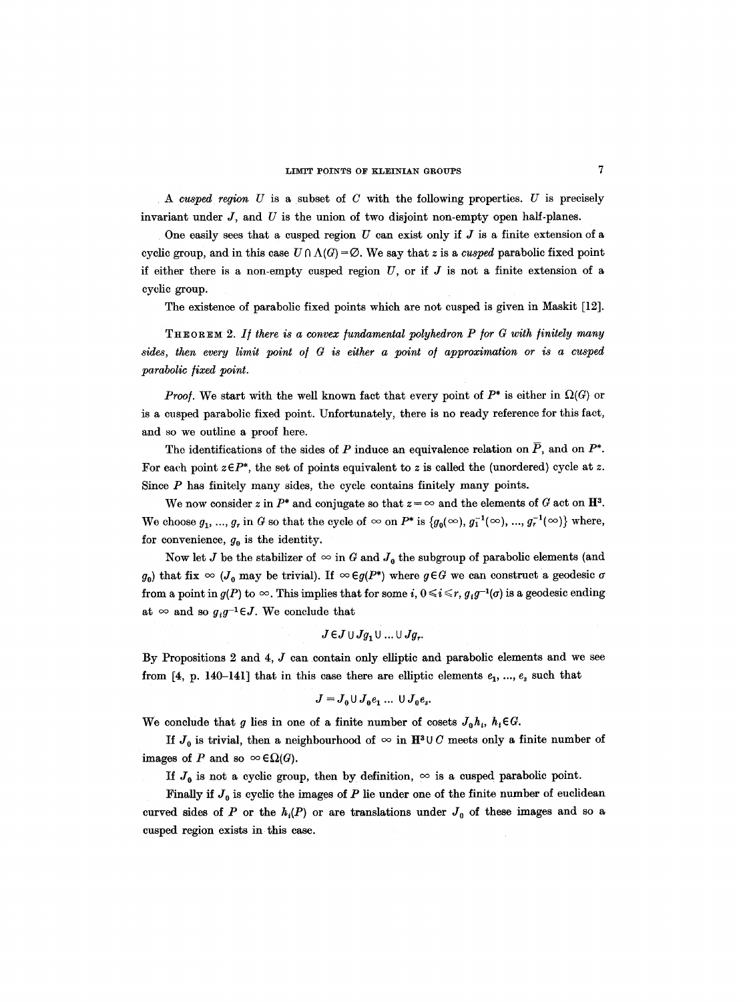*A cusped region U* is a subset of C with the following properties. U is precisely invariant under  $J$ , and  $U$  is the union of two disjoint non-empty open half-planes.

One easily sees that a cusped region  $U$  can exist only if  $J$  is a finite extension of a cyclic group, and in this case  $U \cap \Lambda(G) = \emptyset$ . We say that z is a *cusped* parabolic fixed point if either there is a non-empty cusped region  $U$ , or if  $J$  is not a finite extension of a cyclic group.

The existence of parabolic fixed points which are not cusped is given in Maskit [12].

THEOREM 2. If there is a convex fundamental polyhedron P for G with finitely many sides, then every limit point of G is either a point of approximation or is a cusped *parabolic fixed point.* 

*Proof.* We start with the well known fact that every point of  $P^*$  is either in  $\Omega(G)$  or is a cusped parabolic fixed point. Unfortunately, there is no ready reference for this fact, and so we outline a proof here.

The identifications of the sides of P induce an equivalence relation on  $\overline{P}$ , and on  $P^*$ . For each point  $z \in P^*$ , the set of points equivalent to z is called the (unordered) cycle at z. Since  $P$  has finitely many sides, the cycle contains finitely many points.

We now consider z in  $P^*$  and conjugate so that  $z = \infty$  and the elements of G act on  $\mathbb{H}^3$ . We choose  $g_1, ..., g_r$  in G so that the cycle of  $\infty$  on  $P^*$  is  $\{g_0(\infty), g_1^{-1}(\infty), ..., g_r^{-1}(\infty)\}$  where, for convenience,  $g_0$  is the identity.

Now let J be the stabilizer of  $\infty$  in G and  $J_0$  the subgroup of parabolic elements (and  $g_0$ ) that fix  $\infty$  ( $J_0$  may be trivial). If  $\infty \in g(P^*)$  where  $g \in G$  we can construct a geodesic  $\sigma$ from a point in  $g(P)$  to  $\infty$ . This implies that for some *i*,  $0 \le i \le r$ ,  $g_i g^{-1}(\sigma)$  is a geodesic ending at  $\infty$  and so  $g_i g^{-1} \in J$ . We conclude that

$$
J\!\in\!J\!\cup\!Jg_1\!\cup...\cup Jg_r.
$$

By Propositions 2 and 4, J can contain only elliptic and parabolic elements and we see from [4, p. 140-141] that in this case there are elliptic elements  $e_1, ..., e_s$  such that

$$
J=J_0\cup J_0e_1\ldots\cup J_0e_s.
$$

We conclude that g lies in one of a finite number of cosets  $J_0h_i$ ,  $h_i \in G$ .

If  $J_0$  is trivial, then a neighbourhood of  $\infty$  in  $\mathbb{H}^3 \cup C$  meets only a finite number of images of P and so  $\infty \in \Omega(G)$ .

If  $J_0$  is not a cyclic group, then by definition,  $\infty$  is a cusped parabolic point.

Finally if  $J_0$  is cyclic the images of P lie under one of the finite number of euclidean curved sides of P or the  $h_i(P)$  or are translations under  $J_0$  of these images and so a cusped region exists in this case.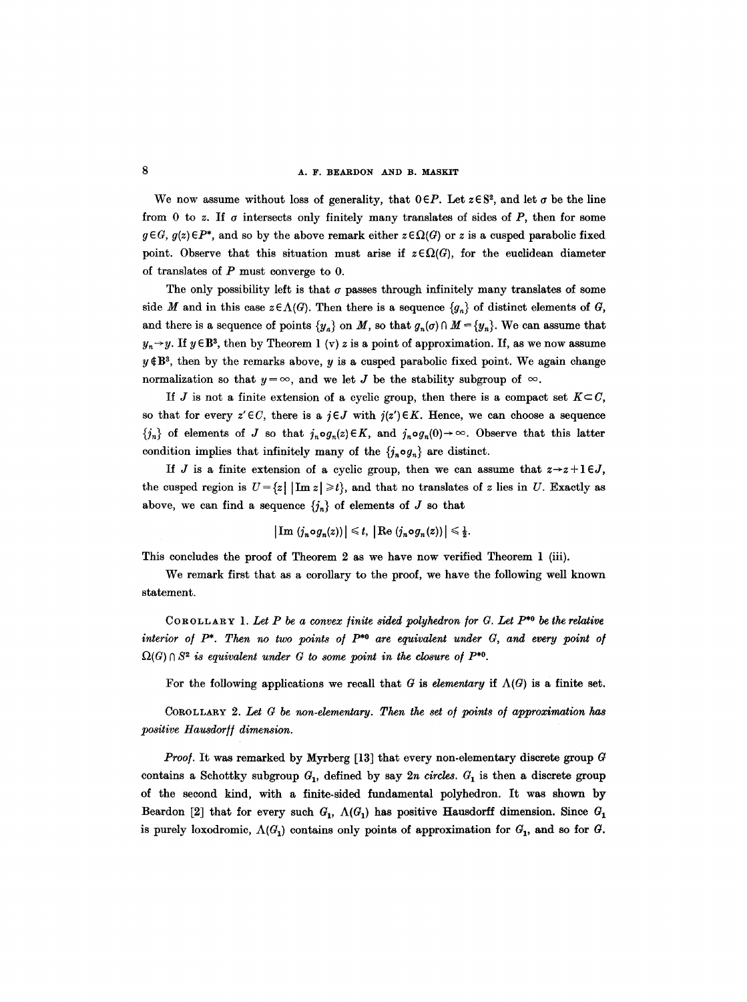We now assume without loss of generality, that  $0 \in P$ . Let  $z \in S^2$ , and let  $\sigma$  be the line from 0 to z. If  $\sigma$  intersects only finitely many translates of sides of P, then for some  $g \in G$ ,  $g(z) \in P^*$ , and so by the above remark either  $z \in \Omega(G)$  or z is a cusped parabolic fixed point. Observe that this situation must arise if  $z \in \Omega(G)$ , for the euclidean diameter of translates of P must converge to 0.

The only possibility left is that  $\sigma$  passes through infinitely many translates of some side M and in this case  $z \in \Lambda(G)$ . Then there is a sequence  $\{g_n\}$  of distinct elements of G, and there is a sequence of points  $\{y_n\}$  on M, so that  $g_n(\sigma) \cap M = \{y_n\}$ . We can assume that  $y_n \rightarrow y$ . If  $y \in \mathbb{B}^3$ , then by Theorem 1 (v) z is a point of approximation. If, as we now assume  $y \notin B^3$ , then by the remarks above, y is a cusped parabolic fixed point. We again change normalization so that  $y = \infty$ , and we let J be the stability subgroup of  $\infty$ .

If J is not a finite extension of a cyclic group, then there is a compact set  $K\subset C$ , so that for every  $z' \in C$ , there is a  $j \in J$  with  $j(z') \in K$ . Hence, we can choose a sequence  ${n \choose n}$  of elements of J so that  $j_n \circ g_n(z) \in K$ , and  $j_n \circ g_n(0) \to \infty$ . Observe that this latter condition implies that infinitely many of the  $\{j_n \circ g_n\}$  are distinct.

If J is a finite extension of a cyclic group, then we can assume that  $z \rightarrow z + l \in J$ , the cusped region is  $U = \{z \mid |\text{Im } z| \ge t\}$ , and that no translates of z lies in U. Exactly as above, we can find a sequence  $\{j_n\}$  of elements of J so that

$$
|\operatorname{Im} (j_n \circ g_n(z))| \leq t, \, |\operatorname{Re} (j_n \circ g_n(z))| \leq \frac{1}{2}.
$$

This concludes the proof of Theorem 2 as we have now verified Theorem 1 (iii).

We remark first that as a corollary to the proof, we have the following well known statement.

COROLLARY 1. Let P be a convex finite sided polyhedron for  $G$ . Let  $P^{*0}$  be the relative *interior of P<sup>\*</sup>. Then no two points of P<sup>\*0</sup> are equivalent under*  $G$ *, and every point of*  $\Omega(G) \cap S^2$  is equivalent under G to some point in the closure of  $P^{*0}$ .

For the following applications we recall that G is *elementary* if  $\Lambda(G)$  is a finite set.

COROLLARY *2. Let G be non-elementary. Then the set o/points o/approximation has*   $positive$  Hausdorff dimension.

*Proof.* It was remarked by Myrberg [13] that every non-elementary discrete group G contains a Schottky subgroup  $G_1$ , defined by say  $2n$  *circles.*  $G_1$  is then a discrete group of the second kind, with a finite-sided fundamental polyhedron. It was shown by Beardon [2] that for every such  $G_1$ ,  $\Lambda(G_1)$  has positive Hausdorff dimension. Since  $G_1$ is purely loxodromic,  $\Lambda(G_1)$  contains only points of approximation for  $G_1$ , and so for G.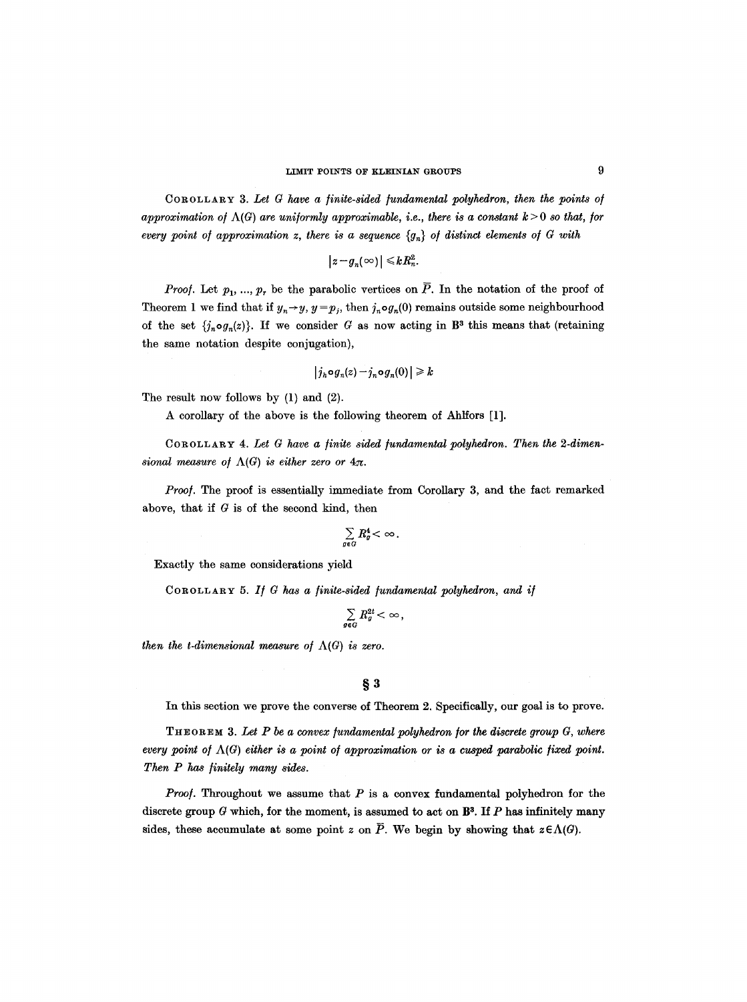COROLLARY *3. Let G have a finite-sided /undamental polyhedron, then the points o/ approximation of*  $\Lambda(G)$  are uniformly approximable, i.e., there is a constant  $k > 0$  so that, for *every point of approximation z, there is a sequence*  $\{g_n\}$  of distinct elements of G with

$$
|z-g_n(\infty)| \leq kR_n^2.
$$

*Proof.* Let  $p_1, ..., p_r$  be the parabolic vertices on  $\overline{P}$ . In the notation of the proof of Theorem 1 we find that if  $y_n \rightarrow y$ ,  $y = p_j$ , then  $j_n \circ g_n(0)$  remains outside some neighbourhood of the set  $\{j_n \circ g_n(z)\}$ . If we consider G as now acting in B<sup>3</sup> this means that (retaining the same notation despite conjugation),

$$
|j_h \circ g_n(z) - j_n \circ g_n(0)| \geq k
$$

The result now follows by (1) and (2).

A corollary of the above is the following theorem of Ahlfors [1].

COROLLARY 4. Let G have a finite sided fundamental polyhedron. Then the 2-dimen*sional measure of*  $\Lambda(G)$  *is either zero or*  $4\pi$ .

*Proof.* The proof is essentially immediate from Corollary 3, and the fact remarked above, that if  $G$  is of the second kind, then

$$
\sum_{g\in G}R_g^4<\infty.
$$

Exactly the same considerations yield

COROLLARY *5. If G has a finite-sided fundamental polyhedron, and if* 

$$
\sum_{g\in G}R_g^{2t}<\infty\,,
$$

*then the t-dimensional measure of*  $\Lambda(G)$  *is zero.* 

#### **w**

In this section we prove the converse of Theorem 2. Specifically, our goal is to prove.

THEOREM *3. Let P be a convex/undamental polyhedron/or the discrete group G, where every point of*  $\Lambda(G)$  *either is a point of approximation or is a cusped parabolic fixed point. Then P has finitely many sides.* 

*Proof.* Throughout we assume that P is a convex fundamental polyhedron for the discrete group G which, for the moment, is assumed to act on  $\mathbb{B}^3$ . If P has infinitely many sides, these accumulate at some point z on  $\overline{P}$ . We begin by showing that  $z \in \Lambda(G)$ .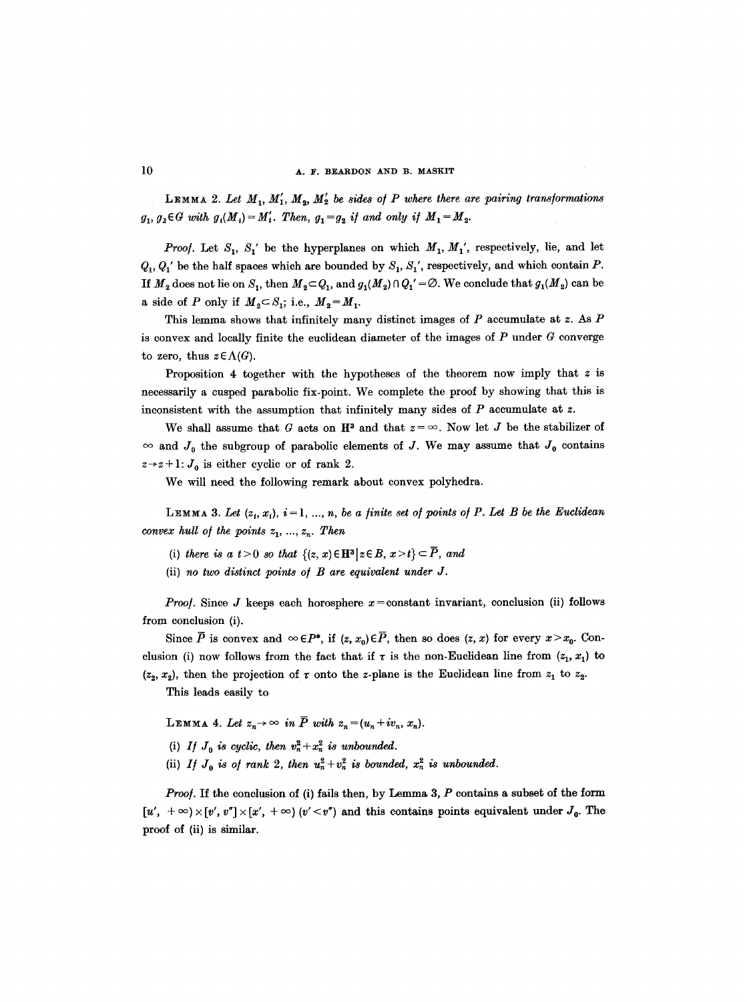#### 10 **A. F. BEARDON AND B. MASKIT**

**LEMMA** 2. Let  $M_1, M'_1, M_2, M'_2$  be sides of P where there are pairing transformations  $g_1, g_2 \in G$  with  $g_1(M_1) = M'_1$ . Then,  $g_1 = g_2$  if and only if  $M_1 = M_2$ .

*Proof.* Let  $S_1$ ,  $S_1'$  be the hyperplanes on which  $M_1$ ,  $M_1'$ , respectively, lie, and let  $Q_1, Q_1'$  be the half spaces which are bounded by  $S_1, S_1'$ , respectively, and which contain P. If  $M_2$  does not lie on  $S_1$ , then  $M_2 \subset Q_1$ , and  $g_1(M_2) \cap Q_1' = \emptyset$ . We conclude that  $g_1(M_2)$  can be a side of P only if  $M_2 \subset S_1$ ; i.e.,  $M_2 = M_1$ .

This lemma shows that infinitely many distinct images of  $P$  accumulate at z. As  $P$ is convex and locally finite the euclidean diameter of the images of  $P$  under  $G$  converge to zero, thus  $z \in \Lambda(G)$ .

Proposition 4 together with the hypotheses of the theorem now imply that  $z$  is necessarily a cusped parabolic fix-point. We complete the proof by showing that this is inconsistent with the assumption that infinitely many sides of P accumulate at z.

We shall assume that G acts on  $\mathbb{H}^3$  and that  $z = \infty$ . Now let J be the stabilizer of  $\infty$  and  $J_0$  the subgroup of parabolic elements of J. We may assume that  $J_0$  contains  $z \rightarrow z+1$ :  $J_0$  is either cyclic or of rank 2.

We will need the following remark about convex polyhedra.

LEMMA 3. Let  $(z_i, x_i)$ ,  $i = 1, ..., n$ , be a finite set of points of P. Let B be the Euclidean *convex hull of the points*  $z_1, \ldots, z_n$ *. Then* 

- (i) there is a  $t>0$  so that  $\{(z, x) \in \mathbb{H}^3 | z \in B, x > t\} \subset \overline{P}$ , and
- (ii) *no two distinct points o/ B are equivalent under J.*

*Proof.* Since J keeps each horosphere  $x = constant$  invariant, conclusion (ii) follows from conclusion (i).

Since  $\overline{P}$  is convex and  $\infty \in P^*$ , if  $(z, x_0) \in \overline{P}$ , then so does  $(z, x)$  for every  $x > x_0$ . Conclusion (i) now follows from the fact that if  $\tau$  is the non-Euclidean line from  $(z_1, x_1)$  to  $(z_2, x_2)$ , then the projection of  $\tau$  onto the z-plane is the Euclidean line from  $z_1$  to  $z_2$ .

This leads easily to

LEMMA 4. Let  $z_n \to \infty$  in  $\overline{P}$  with  $z_n = (u_n + iv_n, x_n)$ .

- (i) *If*  $J_0$  *is cyclic, then*  $v_n^2 + x_n^2$  *is unbounded.*
- (ii) *If*  $J_0$  *is of rank 2, then*  $u_n^2 + v_n^2$  *is bounded,*  $x_n^2$  *is unbounded.*

*Proof.* If the conclusion of (i) fails then, by Lemma 3, P contains a subset of the form  $[u', +\infty) \times [v', v''] \times [x', +\infty)$  *(v'*  $\lt v''$ *)* and this contains points equivalent under  $J_0$ . The proof of (ii) is similar.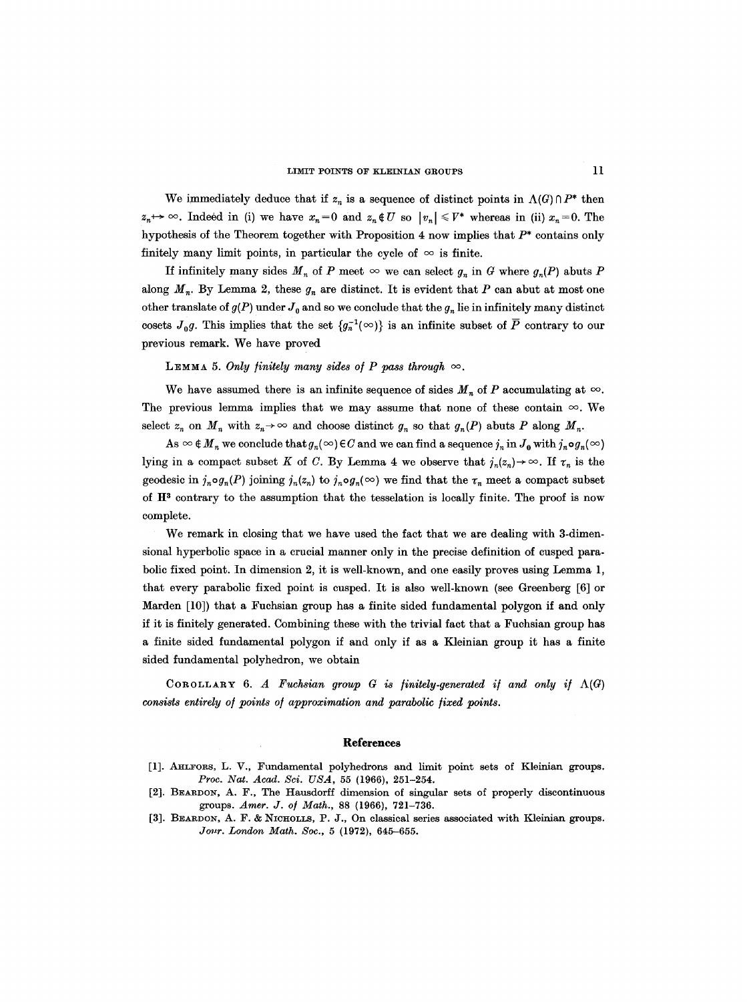We immediately deduce that if  $z_n$  is a sequence of distinct points in  $\Lambda(G) \cap P^*$  then  $z_n \mapsto \infty$ . Indeed in (i) we have  $x_n=0$  and  $z_n \notin U$  so  $|v_n| \leq V^*$  whereas in (ii)  $x_n=0$ . The hypothesis of the Theorem together with Proposition 4 now implies that  $P^*$  contains only finitely many limit points, in particular the cycle of  $\infty$  is finite.

If infinitely many sides  $M_n$  of P meet  $\infty$  we can select  $g_n$  in G where  $g_n(P)$  abuts P along  $M_n$ . By Lemma 2, these  $g_n$  are distinct. It is evident that P can abut at most one other translate of  $g(P)$  under  $J_0$  and so we conclude that the  $g_n$  lie in infinitely many distinct cosets  $J_0g$ . This implies that the set  $\{g_n^{-1}(\infty)\}\$ is an infinite subset of  $\overline{P}$  contrary to our previous remark. We have proved

LEMMA 5. Only finitely many sides of P pass through  $\infty$ .

We have assumed there is an infinite sequence of sides  $M_n$  of P accumulating at  $\infty$ . The previous lemma implies that we may assume that none of these contain  $\infty$ . We select  $z_n$  on  $M_n$  with  $z_n \to \infty$  and choose distinct  $g_n$  so that  $g_n(P)$  abuts P along  $M_n$ .

As  $\infty \notin M_{n}$  we conclude that  $g_{n}(\infty) \in C$  and we can find a sequence  $j_{n}$  in  $J_{0}$  with  $j_{n} \circ g_{n}(\infty)$ lying in a compact subset K of C. By Lemma 4 we observe that  $j_n(z_n) \to \infty$ . If  $\tau_n$  is the geodesic in  $j_n \circ g_n(P)$  joining  $j_n(z_n)$  to  $j_n \circ g_n(\infty)$  we find that the  $\tau_n$  meet a compact subset of  $H<sup>3</sup>$  contrary to the assumption that the tesselation is locally finite. The proof is now complete.

We remark in closing that we have used the fact that we are dealing with 3-dimensional hyperbolic space in a crucial manner only in the precise definition of cusped parabolic fixed point. In dimension 2, it is well-known, and one easily proves using Lemma 1, that every parabolic fixed point is cusped. It is also well-known (see Greenberg [6] or Marden [10]) that a Fuehsian group has a finite sided fundamental polygon if and only if it is finitely generated. Combining these with the trivial fact that a Fuchsian group has a finite sided fundamental polygon if and only if as a Kleinian group it has a finite sided fundamental polyhedron, we obtain

COROLLARY 6. A Fuchsian group  $G$  is finitely-generated if and only if  $\Lambda(G)$ *consists entirely of points of approximation and parabolic fixed points.* 

#### **References**

- [1]. AHLFORS, L. V., Fundamental polyhedrons and limit point sets of Kleinian groups. *Proc. Nat. Acad. Sci. USA,* 55 (1966), 251-254.
- [2]. BEARDON, A. F., The Hausdorff dimension of singular sets of properly discontinuous groups. *Amer. J. o/ Math.,* 88 {1966), 721-736.
- [3]. BEARDON, A. F. & NICHOLLS, P. J., On classical series associated with Kleinian groups. *Jour. London Math. Soc.,* 5 (1972), 645-655.